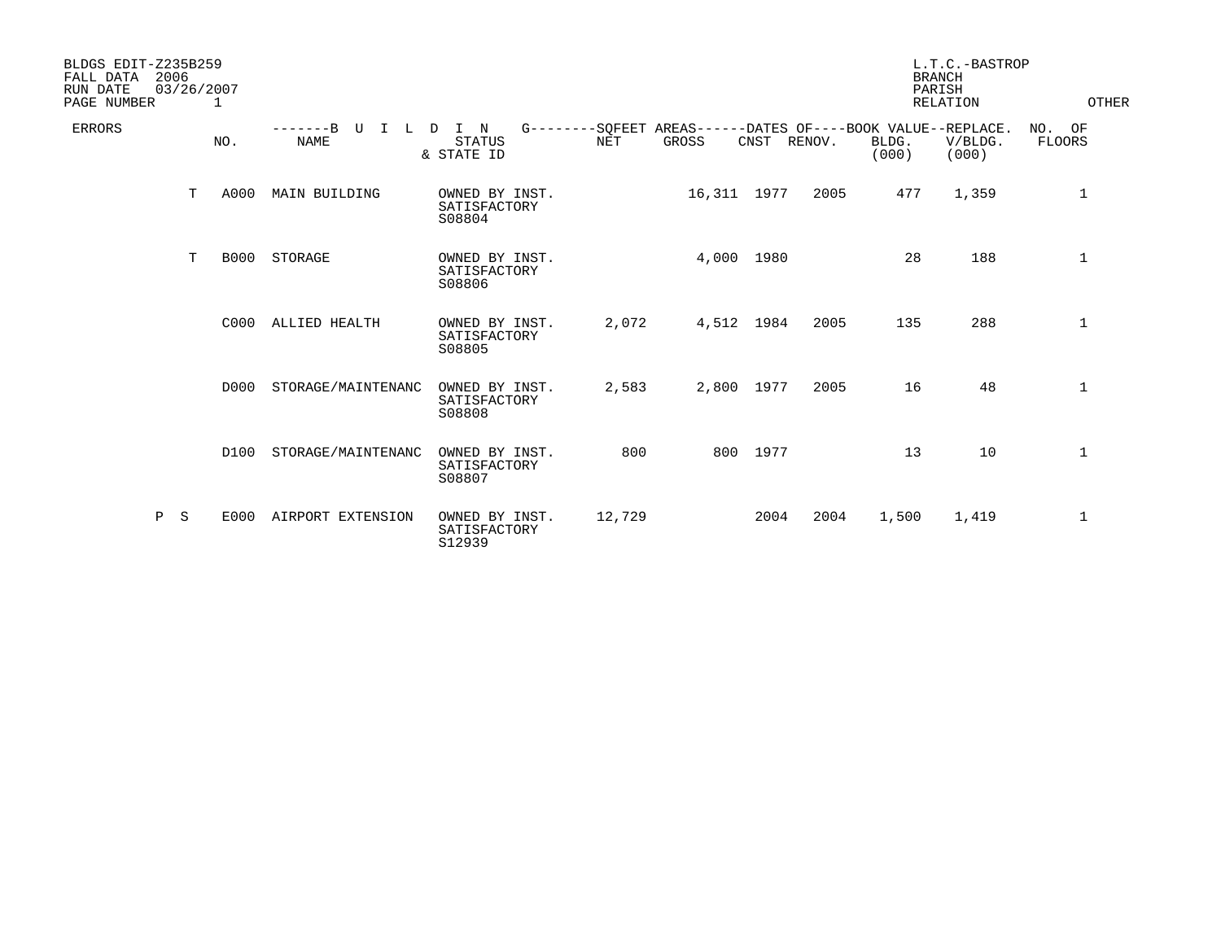| BLDGS EDIT-Z235B259<br>FALL DATA<br>2006<br>RUN DATE<br>PAGE NUMBER |   | 03/26/2007<br>1 |                          |                                          |            |                                                                      |          |        |                | L.T.C.-BASTROP<br><b>BRANCH</b><br>PARISH<br><b>RELATION</b> | OTHER                      |
|---------------------------------------------------------------------|---|-----------------|--------------------------|------------------------------------------|------------|----------------------------------------------------------------------|----------|--------|----------------|--------------------------------------------------------------|----------------------------|
| <b>ERRORS</b>                                                       |   | NO.             | $---B$<br>U<br>T<br>NAME | L D I N<br><b>STATUS</b><br>& STATE ID   | <b>NET</b> | G--------SOFEET AREAS------DATES OF----BOOK VALUE--REPLACE.<br>GROSS | CNST     | RENOV. | BLDG.<br>(000) | V/BLDG.<br>(000)                                             | NO.<br>OF<br><b>FLOORS</b> |
|                                                                     | T | A000            | MAIN BUILDING            | OWNED BY INST.<br>SATISFACTORY<br>S08804 |            | 16,311 1977                                                          |          | 2005   | 477            | 1,359                                                        | $\mathbf 1$                |
|                                                                     | T | <b>B000</b>     | STORAGE                  | OWNED BY INST.<br>SATISFACTORY<br>S08806 |            | 4,000 1980                                                           |          |        | 28             | 188                                                          | $\mathbf{1}$               |
|                                                                     |   | C000            | ALLIED HEALTH            | OWNED BY INST.<br>SATISFACTORY<br>S08805 | 2,072      | 4,512 1984                                                           |          | 2005   | 135            | 288                                                          | $\mathbf{1}$               |
|                                                                     |   | D000            | STORAGE/MAINTENANC       | OWNED BY INST.<br>SATISFACTORY<br>S08808 | 2,583      | 2,800 1977                                                           |          | 2005   | 16             | 48                                                           | $\mathbf 1$                |
|                                                                     |   | D100            | STORAGE/MAINTENANC       | OWNED BY INST.<br>SATISFACTORY<br>S08807 | 800        |                                                                      | 800 1977 |        | 13             | 10                                                           | $\mathbf{1}$               |
| Ρ                                                                   | S | E000            | AIRPORT EXTENSION        | OWNED BY INST.<br>SATISFACTORY<br>S12939 | 12,729     |                                                                      | 2004     | 2004   | 1,500          | 1,419                                                        | $\mathbf{1}$               |